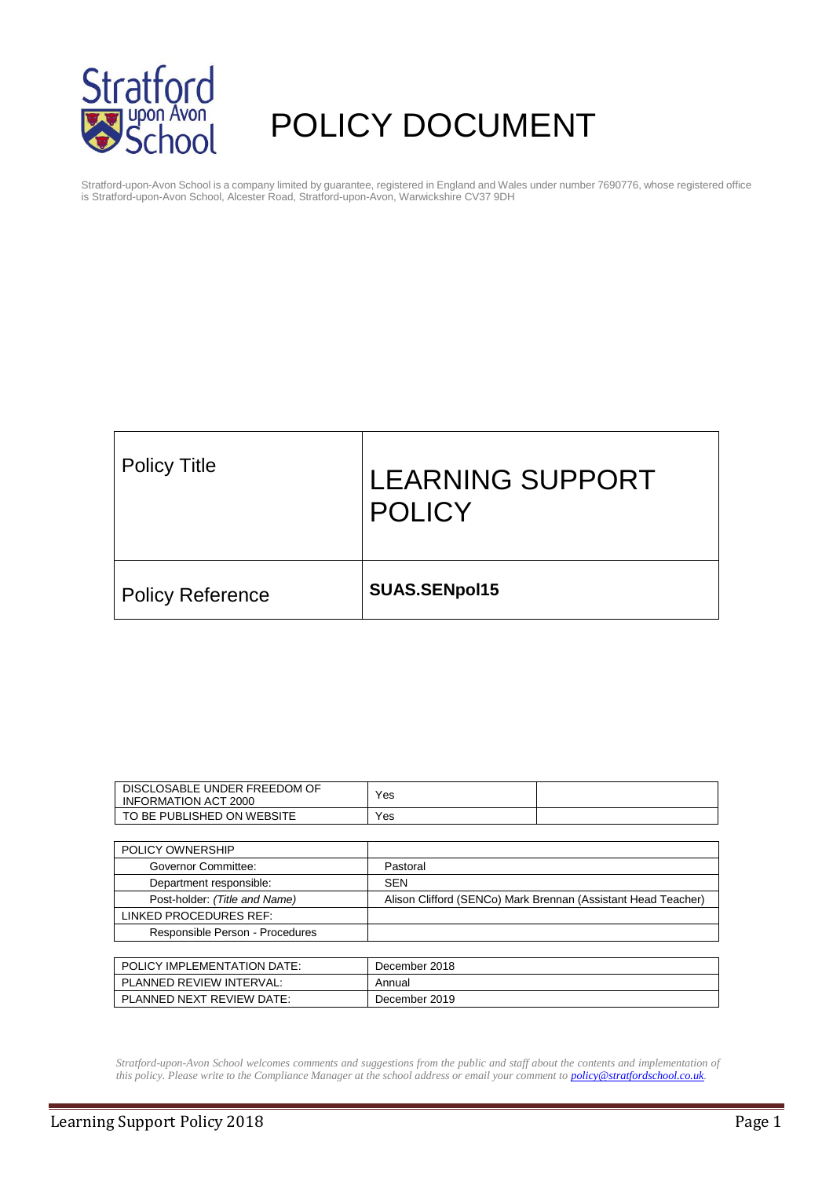

# POLICY DOCUMENT

Stratford-upon-Avon School is a company limited by guarantee, registered in England and Wales under number 7690776, whose registered office is Stratford-upon-Avon School, Alcester Road, Stratford-upon-Avon, Warwickshire CV37 9DH

| <b>Policy Title</b>     | <b>LEARNING SUPPORT</b><br><b>POLICY</b> |
|-------------------------|------------------------------------------|
| <b>Policy Reference</b> | SUAS.SENpol15                            |

| DISCLOSABLE UNDER FREEDOM OF<br><b>INFORMATION ACT 2000</b> | Yes                                                           |  |  |
|-------------------------------------------------------------|---------------------------------------------------------------|--|--|
| TO BE PUBLISHED ON WEBSITE                                  | Yes                                                           |  |  |
|                                                             |                                                               |  |  |
| POLICY OWNERSHIP                                            |                                                               |  |  |
| Governor Committee:                                         | Pastoral                                                      |  |  |
| Department responsible:                                     | <b>SEN</b>                                                    |  |  |
| Post-holder: (Title and Name)                               | Alison Clifford (SENCo) Mark Brennan (Assistant Head Teacher) |  |  |
| LINKED PROCEDURES REF:                                      |                                                               |  |  |
| Responsible Person - Procedures                             |                                                               |  |  |
|                                                             |                                                               |  |  |
| POLICY IMPLEMENTATION DATE:                                 | December 2018                                                 |  |  |
| PLANNED REVIEW INTERVAL:                                    | Annual                                                        |  |  |
| PLANNED NEXT REVIEW DATE:                                   | December 2019                                                 |  |  |

*Stratford-upon-Avon School welcomes comments and suggestions from the public and staff about the contents and implementation of this policy. Please write to the Compliance Manager at the school address or email your comment to [policy@stratfordschool.co.uk.](mailto:policy@stratfordschool.co.uk)*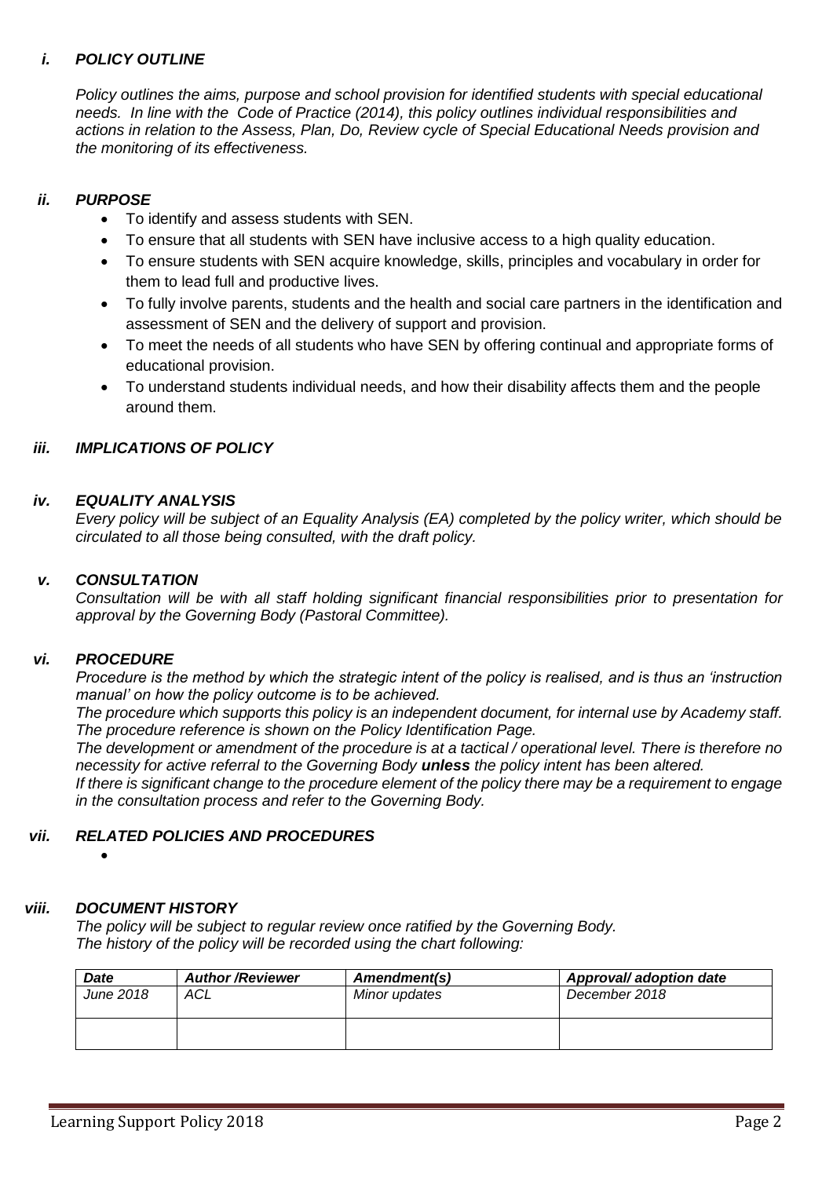# *i. POLICY OUTLINE*

*Policy outlines the aims, purpose and school provision for identified students with special educational needs. In line with the Code of Practice (2014), this policy outlines individual responsibilities and actions in relation to the Assess, Plan, Do, Review cycle of Special Educational Needs provision and the monitoring of its effectiveness.*

# *ii. PURPOSE*

- To identify and assess students with SEN.
- To ensure that all students with SEN have inclusive access to a high quality education.
- To ensure students with SEN acquire knowledge, skills, principles and vocabulary in order for them to lead full and productive lives.
- To fully involve parents, students and the health and social care partners in the identification and assessment of SEN and the delivery of support and provision.
- To meet the needs of all students who have SEN by offering continual and appropriate forms of educational provision.
- To understand students individual needs, and how their disability affects them and the people around them.

## *iii. IMPLICATIONS OF POLICY*

## *iv. EQUALITY ANALYSIS*

*Every policy will be subject of an Equality Analysis (EA) completed by the policy writer, which should be circulated to all those being consulted, with the draft policy.*

## *v. CONSULTATION*

*Consultation will be with all staff holding significant financial responsibilities prior to presentation for approval by the Governing Body (Pastoral Committee).*

## *vi. PROCEDURE*

*Procedure is the method by which the strategic intent of the policy is realised, and is thus an 'instruction manual' on how the policy outcome is to be achieved.* 

*The procedure which supports this policy is an independent document, for internal use by Academy staff. The procedure reference is shown on the Policy Identification Page.*

*The development or amendment of the procedure is at a tactical / operational level. There is therefore no necessity for active referral to the Governing Body unless the policy intent has been altered.*

*If there is significant change to the procedure element of the policy there may be a requirement to engage in the consultation process and refer to the Governing Body.*

## *vii. RELATED POLICIES AND PROCEDURES*

•

# *viii. DOCUMENT HISTORY*

*The policy will be subject to regular review once ratified by the Governing Body. The history of the policy will be recorded using the chart following:*

| <b>Date</b>      | <b>Author/Reviewer</b> | Amendment(s)  | Approval/ adoption date |
|------------------|------------------------|---------------|-------------------------|
| <b>June 2018</b> | ACL                    | Minor updates | December 2018           |
|                  |                        |               |                         |
|                  |                        |               |                         |
|                  |                        |               |                         |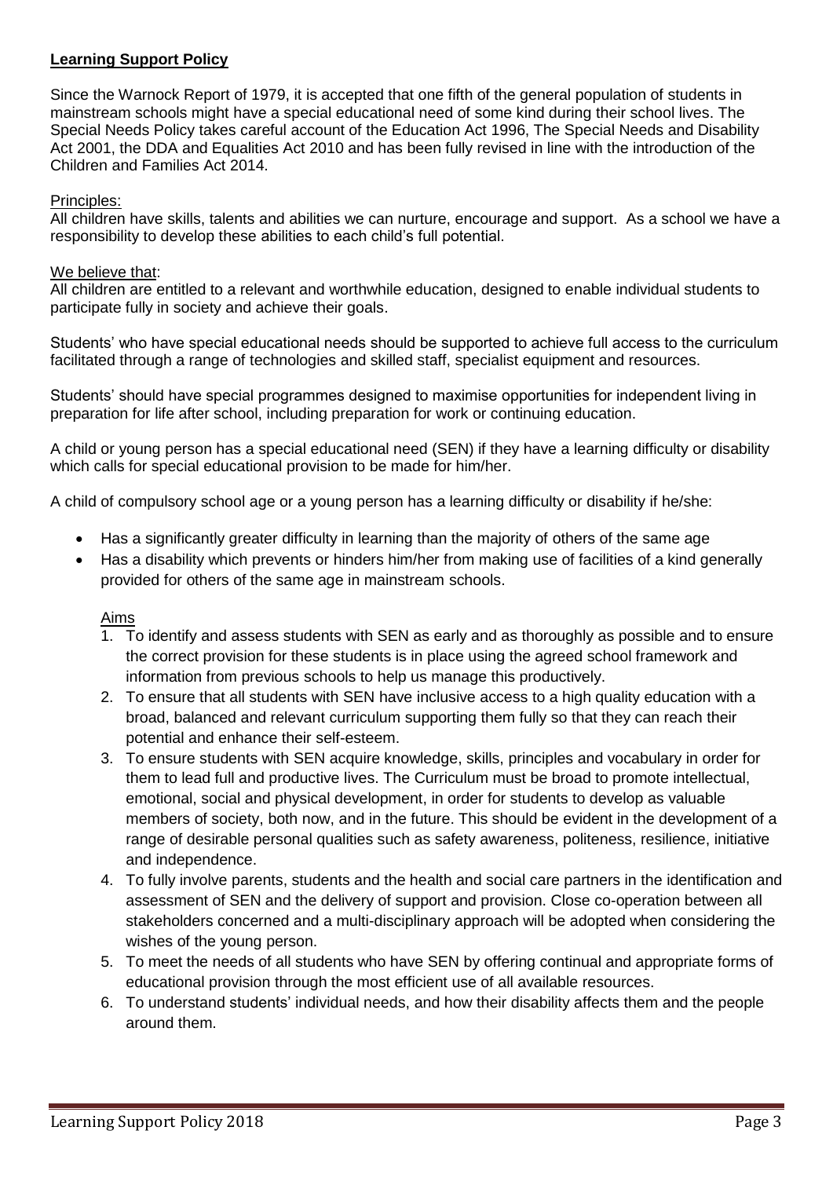# **Learning Support Policy**

Since the Warnock Report of 1979, it is accepted that one fifth of the general population of students in mainstream schools might have a special educational need of some kind during their school lives. The Special Needs Policy takes careful account of the Education Act 1996, The Special Needs and Disability Act 2001, the DDA and Equalities Act 2010 and has been fully revised in line with the introduction of the Children and Families Act 2014.

# Principles:

All children have skills, talents and abilities we can nurture, encourage and support. As a school we have a responsibility to develop these abilities to each child's full potential.

## We believe that:

All children are entitled to a relevant and worthwhile education, designed to enable individual students to participate fully in society and achieve their goals.

Students' who have special educational needs should be supported to achieve full access to the curriculum facilitated through a range of technologies and skilled staff, specialist equipment and resources.

Students' should have special programmes designed to maximise opportunities for independent living in preparation for life after school, including preparation for work or continuing education.

A child or young person has a special educational need (SEN) if they have a learning difficulty or disability which calls for special educational provision to be made for him/her.

A child of compulsory school age or a young person has a learning difficulty or disability if he/she:

- Has a significantly greater difficulty in learning than the majority of others of the same age
- Has a disability which prevents or hinders him/her from making use of facilities of a kind generally provided for others of the same age in mainstream schools.

#### Aims

- 1. To identify and assess students with SEN as early and as thoroughly as possible and to ensure the correct provision for these students is in place using the agreed school framework and information from previous schools to help us manage this productively.
- 2. To ensure that all students with SEN have inclusive access to a high quality education with a broad, balanced and relevant curriculum supporting them fully so that they can reach their potential and enhance their self-esteem.
- 3. To ensure students with SEN acquire knowledge, skills, principles and vocabulary in order for them to lead full and productive lives. The Curriculum must be broad to promote intellectual, emotional, social and physical development, in order for students to develop as valuable members of society, both now, and in the future. This should be evident in the development of a range of desirable personal qualities such as safety awareness, politeness, resilience, initiative and independence.
- 4. To fully involve parents, students and the health and social care partners in the identification and assessment of SEN and the delivery of support and provision. Close co-operation between all stakeholders concerned and a multi-disciplinary approach will be adopted when considering the wishes of the young person.
- 5. To meet the needs of all students who have SEN by offering continual and appropriate forms of educational provision through the most efficient use of all available resources.
- 6. To understand students' individual needs, and how their disability affects them and the people around them.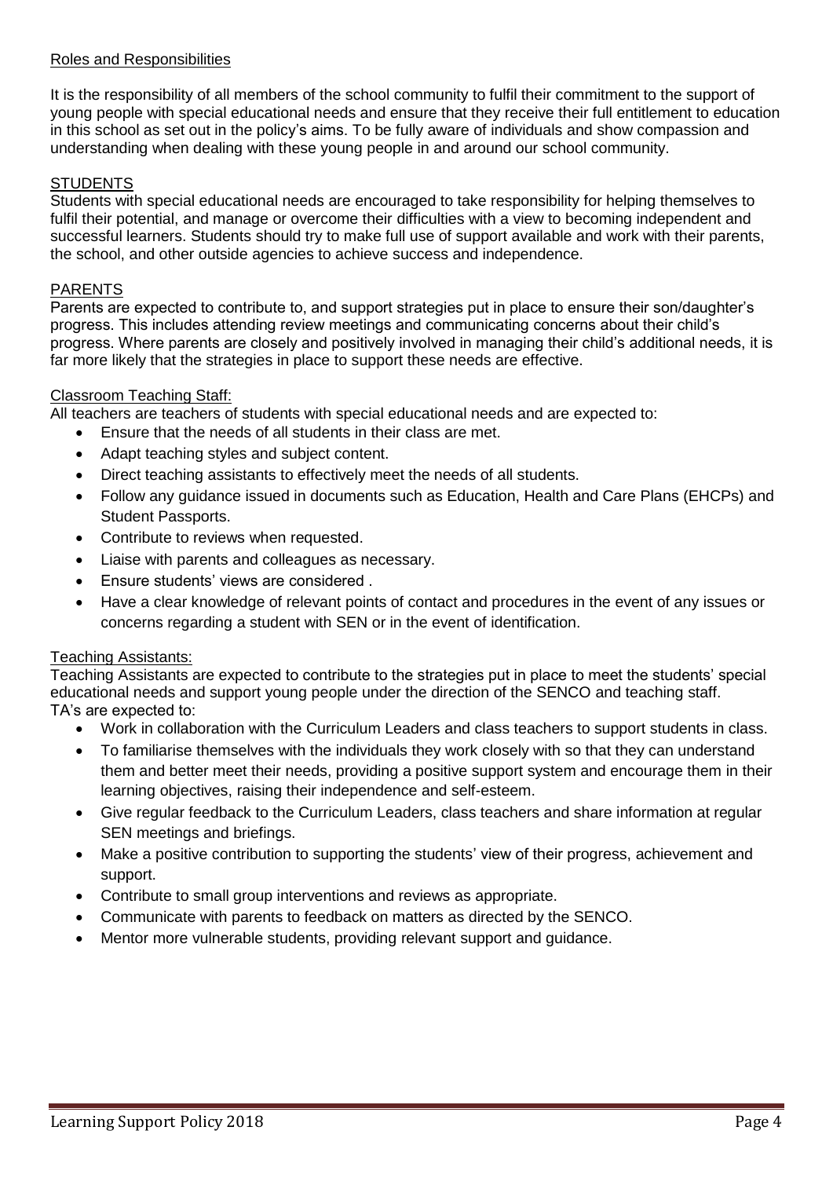#### Roles and Responsibilities

It is the responsibility of all members of the school community to fulfil their commitment to the support of young people with special educational needs and ensure that they receive their full entitlement to education in this school as set out in the policy's aims. To be fully aware of individuals and show compassion and understanding when dealing with these young people in and around our school community.

## **STUDENTS**

Students with special educational needs are encouraged to take responsibility for helping themselves to fulfil their potential, and manage or overcome their difficulties with a view to becoming independent and successful learners. Students should try to make full use of support available and work with their parents, the school, and other outside agencies to achieve success and independence.

#### PARENTS

Parents are expected to contribute to, and support strategies put in place to ensure their son/daughter's progress. This includes attending review meetings and communicating concerns about their child's progress. Where parents are closely and positively involved in managing their child's additional needs, it is far more likely that the strategies in place to support these needs are effective.

#### Classroom Teaching Staff:

All teachers are teachers of students with special educational needs and are expected to:

- Ensure that the needs of all students in their class are met.
- Adapt teaching styles and subject content.
- Direct teaching assistants to effectively meet the needs of all students.
- Follow any guidance issued in documents such as Education, Health and Care Plans (EHCPs) and Student Passports.
- Contribute to reviews when requested.
- Liaise with parents and colleagues as necessary.
- Ensure students' views are considered .
- Have a clear knowledge of relevant points of contact and procedures in the event of any issues or concerns regarding a student with SEN or in the event of identification.

## Teaching Assistants:

Teaching Assistants are expected to contribute to the strategies put in place to meet the students' special educational needs and support young people under the direction of the SENCO and teaching staff. TA's are expected to:

- Work in collaboration with the Curriculum Leaders and class teachers to support students in class.
- To familiarise themselves with the individuals they work closely with so that they can understand them and better meet their needs, providing a positive support system and encourage them in their learning objectives, raising their independence and self-esteem.
- Give regular feedback to the Curriculum Leaders, class teachers and share information at regular SEN meetings and briefings.
- Make a positive contribution to supporting the students' view of their progress, achievement and support.
- Contribute to small group interventions and reviews as appropriate.
- Communicate with parents to feedback on matters as directed by the SENCO.
- Mentor more vulnerable students, providing relevant support and guidance.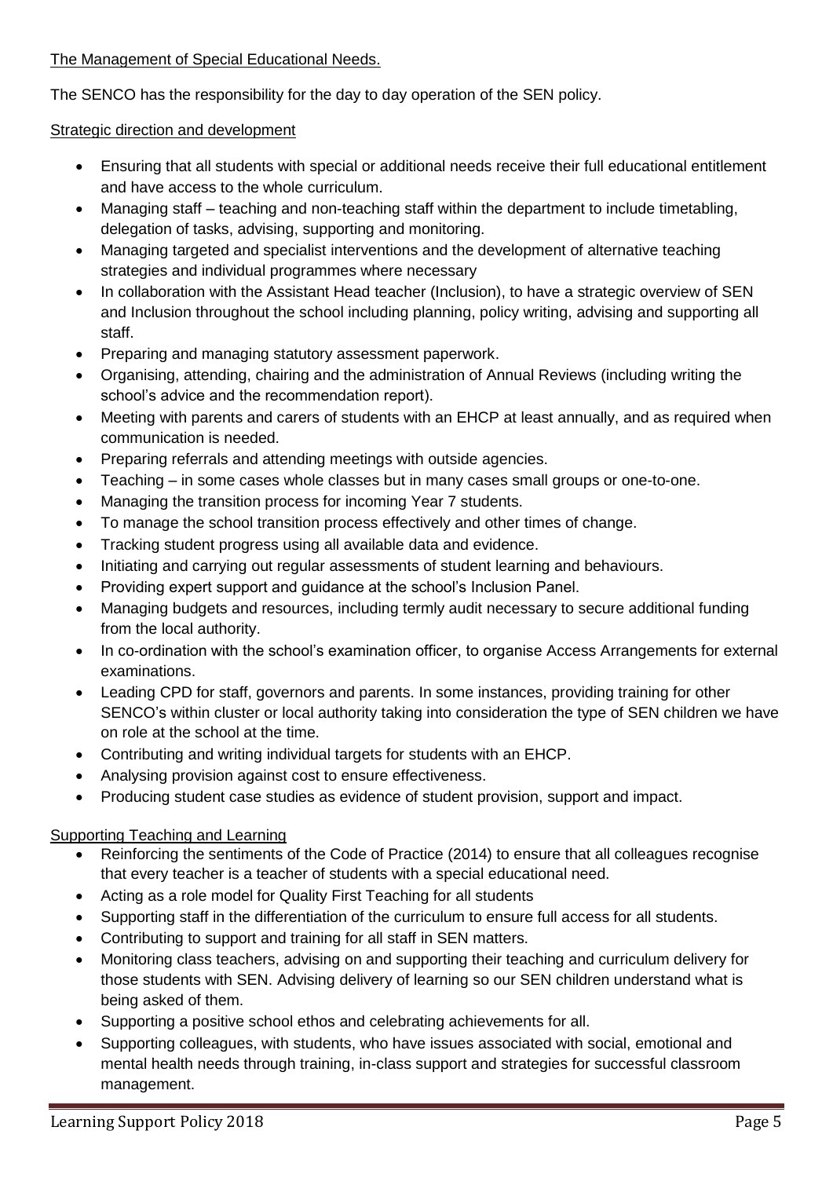# The Management of Special Educational Needs.

The SENCO has the responsibility for the day to day operation of the SEN policy.

# Strategic direction and development

- Ensuring that all students with special or additional needs receive their full educational entitlement and have access to the whole curriculum.
- Managing staff teaching and non-teaching staff within the department to include timetabling, delegation of tasks, advising, supporting and monitoring.
- Managing targeted and specialist interventions and the development of alternative teaching strategies and individual programmes where necessary
- In collaboration with the Assistant Head teacher (Inclusion), to have a strategic overview of SEN and Inclusion throughout the school including planning, policy writing, advising and supporting all staff.
- Preparing and managing statutory assessment paperwork.
- Organising, attending, chairing and the administration of Annual Reviews (including writing the school's advice and the recommendation report).
- Meeting with parents and carers of students with an EHCP at least annually, and as required when communication is needed.
- Preparing referrals and attending meetings with outside agencies.
- Teaching in some cases whole classes but in many cases small groups or one-to-one.
- Managing the transition process for incoming Year 7 students.
- To manage the school transition process effectively and other times of change.
- Tracking student progress using all available data and evidence.
- Initiating and carrying out regular assessments of student learning and behaviours.
- Providing expert support and guidance at the school's Inclusion Panel.
- Managing budgets and resources, including termly audit necessary to secure additional funding from the local authority.
- In co-ordination with the school's examination officer, to organise Access Arrangements for external examinations.
- Leading CPD for staff, governors and parents. In some instances, providing training for other SENCO's within cluster or local authority taking into consideration the type of SEN children we have on role at the school at the time.
- Contributing and writing individual targets for students with an EHCP.
- Analysing provision against cost to ensure effectiveness.
- Producing student case studies as evidence of student provision, support and impact.

# Supporting Teaching and Learning

- Reinforcing the sentiments of the Code of Practice (2014) to ensure that all colleagues recognise that every teacher is a teacher of students with a special educational need.
- Acting as a role model for Quality First Teaching for all students
- Supporting staff in the differentiation of the curriculum to ensure full access for all students.
- Contributing to support and training for all staff in SEN matters.
- Monitoring class teachers, advising on and supporting their teaching and curriculum delivery for those students with SEN. Advising delivery of learning so our SEN children understand what is being asked of them.
- Supporting a positive school ethos and celebrating achievements for all.
- Supporting colleagues, with students, who have issues associated with social, emotional and mental health needs through training, in-class support and strategies for successful classroom management.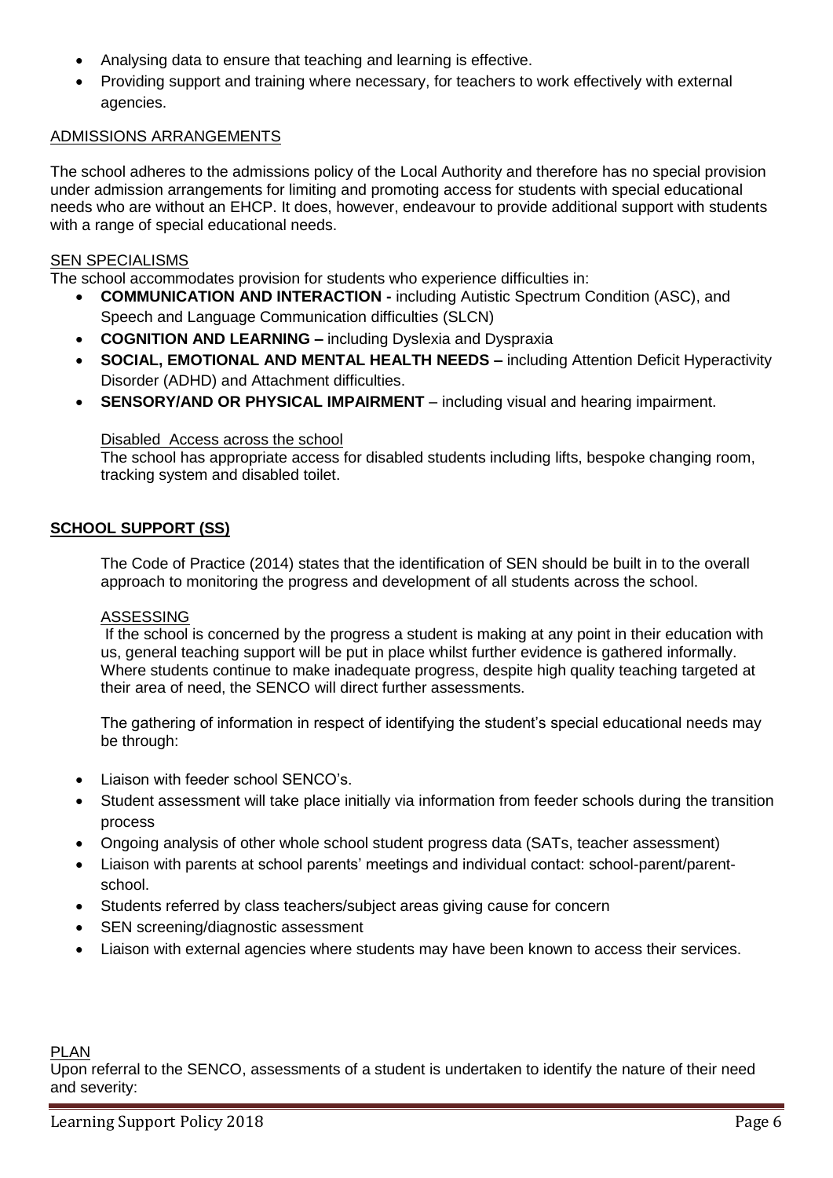- Analysing data to ensure that teaching and learning is effective.
- Providing support and training where necessary, for teachers to work effectively with external agencies.

# ADMISSIONS ARRANGEMENTS

The school adheres to the admissions policy of the Local Authority and therefore has no special provision under admission arrangements for limiting and promoting access for students with special educational needs who are without an EHCP. It does, however, endeavour to provide additional support with students with a range of special educational needs.

## **SEN SPECIALISMS**

The school accommodates provision for students who experience difficulties in:

- **COMMUNICATION AND INTERACTION -** including Autistic Spectrum Condition (ASC), and Speech and Language Communication difficulties (SLCN)
- **COGNITION AND LEARNING –** including Dyslexia and Dyspraxia
- **SOCIAL, EMOTIONAL AND MENTAL HEALTH NEEDS –** including Attention Deficit Hyperactivity Disorder (ADHD) and Attachment difficulties.
- **SENSORY/AND OR PHYSICAL IMPAIRMENT** including visual and hearing impairment.

## Disabled Access across the school

The school has appropriate access for disabled students including lifts, bespoke changing room, tracking system and disabled toilet.

# **SCHOOL SUPPORT (SS)**

The Code of Practice (2014) states that the identification of SEN should be built in to the overall approach to monitoring the progress and development of all students across the school.

## ASSESSING

If the school is concerned by the progress a student is making at any point in their education with us, general teaching support will be put in place whilst further evidence is gathered informally. Where students continue to make inadequate progress, despite high quality teaching targeted at their area of need, the SENCO will direct further assessments.

The gathering of information in respect of identifying the student's special educational needs may be through:

- Liaison with feeder school SENCO's.
- Student assessment will take place initially via information from feeder schools during the transition process
- Ongoing analysis of other whole school student progress data (SATs, teacher assessment)
- Liaison with parents at school parents' meetings and individual contact: school-parent/parentschool.
- Students referred by class teachers/subject areas giving cause for concern
- SEN screening/diagnostic assessment
- Liaison with external agencies where students may have been known to access their services.

#### PLAN

Upon referral to the SENCO, assessments of a student is undertaken to identify the nature of their need and severity: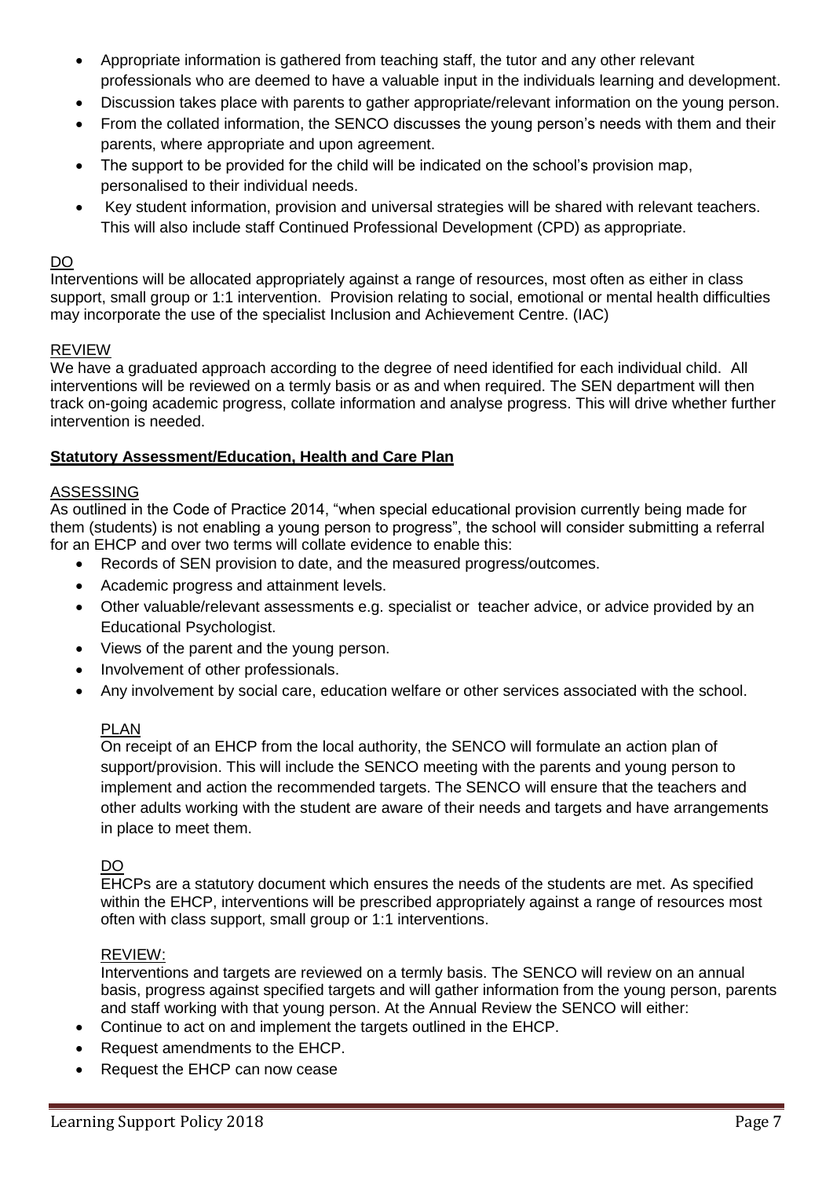- Appropriate information is gathered from teaching staff, the tutor and any other relevant professionals who are deemed to have a valuable input in the individuals learning and development.
- Discussion takes place with parents to gather appropriate/relevant information on the young person.
- From the collated information, the SENCO discusses the young person's needs with them and their parents, where appropriate and upon agreement.
- The support to be provided for the child will be indicated on the school's provision map, personalised to their individual needs.
- Key student information, provision and universal strategies will be shared with relevant teachers. This will also include staff Continued Professional Development (CPD) as appropriate.

# DO

Interventions will be allocated appropriately against a range of resources, most often as either in class support, small group or 1:1 intervention. Provision relating to social, emotional or mental health difficulties may incorporate the use of the specialist Inclusion and Achievement Centre. (IAC)

# REVIEW

We have a graduated approach according to the degree of need identified for each individual child. All interventions will be reviewed on a termly basis or as and when required. The SEN department will then track on-going academic progress, collate information and analyse progress. This will drive whether further intervention is needed.

# **Statutory Assessment/Education, Health and Care Plan**

# ASSESSING

As outlined in the Code of Practice 2014, "when special educational provision currently being made for them (students) is not enabling a young person to progress", the school will consider submitting a referral for an EHCP and over two terms will collate evidence to enable this:

- Records of SEN provision to date, and the measured progress/outcomes.
- Academic progress and attainment levels.
- Other valuable/relevant assessments e.g. specialist or teacher advice, or advice provided by an Educational Psychologist.
- Views of the parent and the young person.
- Involvement of other professionals.
- Any involvement by social care, education welfare or other services associated with the school.

# PLAN

On receipt of an EHCP from the local authority, the SENCO will formulate an action plan of support/provision. This will include the SENCO meeting with the parents and young person to implement and action the recommended targets. The SENCO will ensure that the teachers and other adults working with the student are aware of their needs and targets and have arrangements in place to meet them.

# DO

EHCPs are a statutory document which ensures the needs of the students are met. As specified within the EHCP, interventions will be prescribed appropriately against a range of resources most often with class support, small group or 1:1 interventions.

## REVIEW:

Interventions and targets are reviewed on a termly basis. The SENCO will review on an annual basis, progress against specified targets and will gather information from the young person, parents and staff working with that young person. At the Annual Review the SENCO will either:

- Continue to act on and implement the targets outlined in the EHCP.
- Request amendments to the EHCP.
- Request the EHCP can now cease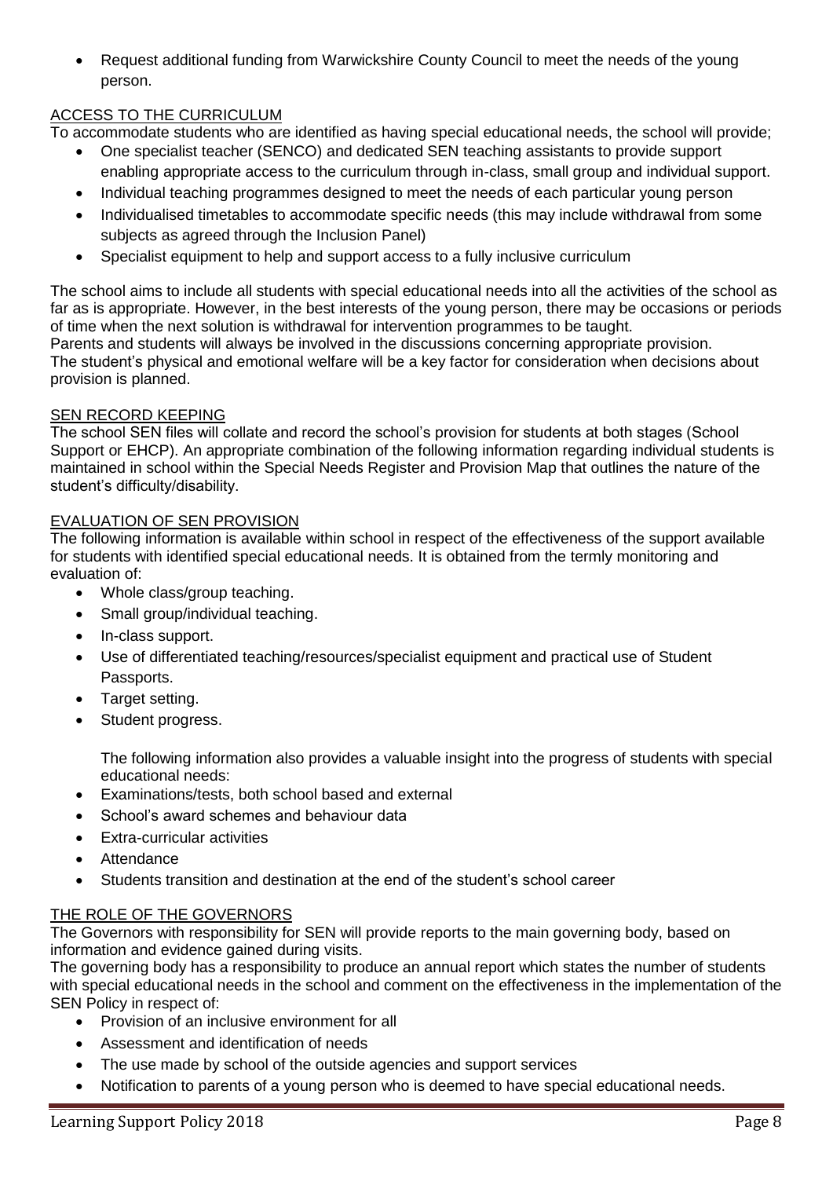• Request additional funding from Warwickshire County Council to meet the needs of the young person.

# ACCESS TO THE CURRICULUM

To accommodate students who are identified as having special educational needs, the school will provide;

- One specialist teacher (SENCO) and dedicated SEN teaching assistants to provide support enabling appropriate access to the curriculum through in-class, small group and individual support.
- Individual teaching programmes designed to meet the needs of each particular young person
- Individualised timetables to accommodate specific needs (this may include withdrawal from some subjects as agreed through the Inclusion Panel)
- Specialist equipment to help and support access to a fully inclusive curriculum

The school aims to include all students with special educational needs into all the activities of the school as far as is appropriate. However, in the best interests of the young person, there may be occasions or periods of time when the next solution is withdrawal for intervention programmes to be taught. Parents and students will always be involved in the discussions concerning appropriate provision. The student's physical and emotional welfare will be a key factor for consideration when decisions about provision is planned.

## SEN RECORD KEEPING

The school SEN files will collate and record the school's provision for students at both stages (School Support or EHCP). An appropriate combination of the following information regarding individual students is maintained in school within the Special Needs Register and Provision Map that outlines the nature of the student's difficulty/disability.

# EVALUATION OF SEN PROVISION

The following information is available within school in respect of the effectiveness of the support available for students with identified special educational needs. It is obtained from the termly monitoring and evaluation of:

- Whole class/group teaching.
- Small group/individual teaching.
- In-class support.
- Use of differentiated teaching/resources/specialist equipment and practical use of Student Passports.
- Target setting.
- Student progress.

The following information also provides a valuable insight into the progress of students with special educational needs:

- Examinations/tests, both school based and external
- School's award schemes and behaviour data
- Extra-curricular activities
- **Attendance**
- Students transition and destination at the end of the student's school career

# THE ROLE OF THE GOVERNORS

The Governors with responsibility for SEN will provide reports to the main governing body, based on information and evidence gained during visits.

The governing body has a responsibility to produce an annual report which states the number of students with special educational needs in the school and comment on the effectiveness in the implementation of the SEN Policy in respect of:

- Provision of an inclusive environment for all
- Assessment and identification of needs
- The use made by school of the outside agencies and support services
- Notification to parents of a young person who is deemed to have special educational needs.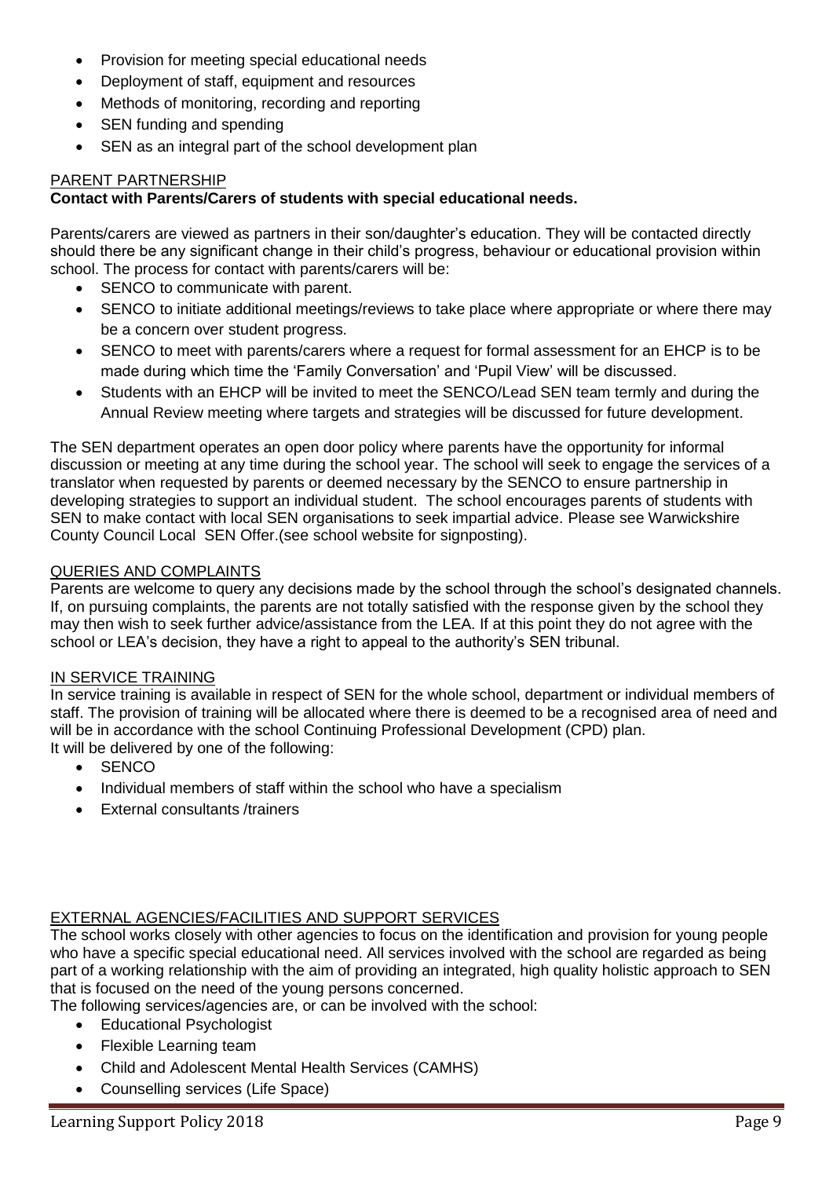- Provision for meeting special educational needs
- Deployment of staff, equipment and resources
- Methods of monitoring, recording and reporting
- SEN funding and spending
- SEN as an integral part of the school development plan

## PARENT PARTNERSHIP

## **Contact with Parents/Carers of students with special educational needs.**

Parents/carers are viewed as partners in their son/daughter's education. They will be contacted directly should there be any significant change in their child's progress, behaviour or educational provision within school. The process for contact with parents/carers will be:

- SENCO to communicate with parent.
- SENCO to initiate additional meetings/reviews to take place where appropriate or where there may be a concern over student progress.
- SENCO to meet with parents/carers where a request for formal assessment for an EHCP is to be made during which time the 'Family Conversation' and 'Pupil View' will be discussed.
- Students with an EHCP will be invited to meet the SENCO/Lead SEN team termly and during the Annual Review meeting where targets and strategies will be discussed for future development.

The SEN department operates an open door policy where parents have the opportunity for informal discussion or meeting at any time during the school year. The school will seek to engage the services of a translator when requested by parents or deemed necessary by the SENCO to ensure partnership in developing strategies to support an individual student. The school encourages parents of students with SEN to make contact with local SEN organisations to seek impartial advice. Please see Warwickshire County Council Local SEN Offer.(see school website for signposting).

#### QUERIES AND COMPLAINTS

Parents are welcome to query any decisions made by the school through the school's designated channels. If, on pursuing complaints, the parents are not totally satisfied with the response given by the school they may then wish to seek further advice/assistance from the LEA. If at this point they do not agree with the school or LEA's decision, they have a right to appeal to the authority's SEN tribunal.

#### IN SERVICE TRAINING

In service training is available in respect of SEN for the whole school, department or individual members of staff. The provision of training will be allocated where there is deemed to be a recognised area of need and will be in accordance with the school Continuing Professional Development (CPD) plan. It will be delivered by one of the following:

- SENCO
- Individual members of staff within the school who have a specialism
- External consultants /trainers

## EXTERNAL AGENCIES/FACILITIES AND SUPPORT SERVICES

The school works closely with other agencies to focus on the identification and provision for young people who have a specific special educational need. All services involved with the school are regarded as being part of a working relationship with the aim of providing an integrated, high quality holistic approach to SEN that is focused on the need of the young persons concerned.

The following services/agencies are, or can be involved with the school:

- Educational Psychologist
- Flexible Learning team
- Child and Adolescent Mental Health Services (CAMHS)
- Counselling services (Life Space)